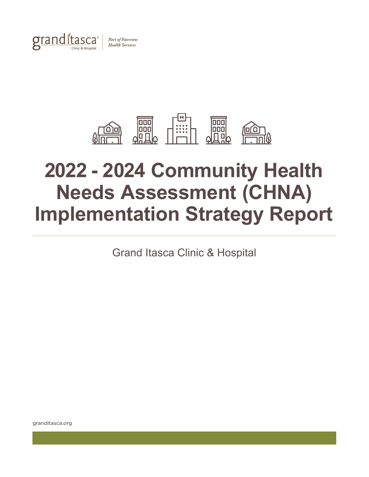



# **2022 - 2024 Community Health Needs Assessment (CHNA) Implementation Strategy Report**

Grand Itasca Clinic & Hospital

granditasca.org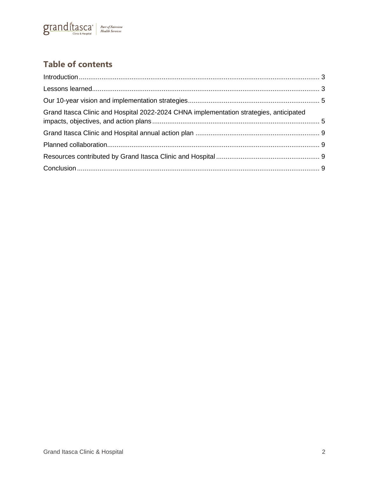

# **Table of contents**

| Grand Itasca Clinic and Hospital 2022-2024 CHNA implementation strategies, anticipated |  |
|----------------------------------------------------------------------------------------|--|
|                                                                                        |  |
|                                                                                        |  |
|                                                                                        |  |
|                                                                                        |  |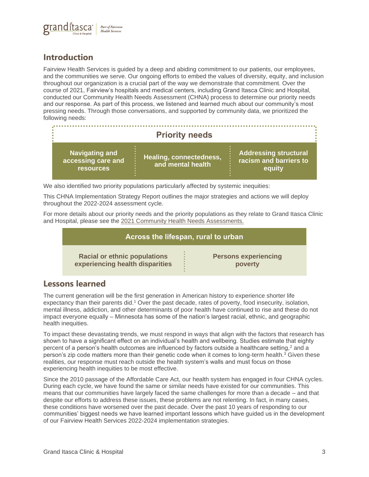

# <span id="page-2-0"></span>**Introduction**

Fairview Health Services is guided by a deep and abiding commitment to our patients, our employees, and the communities we serve. Our ongoing efforts to embed the values of diversity, equity, and inclusion throughout our organization is a crucial part of the way we demonstrate that commitment. Over the course of 2021, Fairview's hospitals and medical centers, including Grand Itasca Clinic and Hospital, conducted our Community Health Needs Assessment (CHNA) process to determine our priority needs and our response. As part of this process, we listened and learned much about our community's most pressing needs. Through those conversations, and supported by community data, we prioritized the following needs:

| <b>Priority needs</b>                                           |                                                     |                                                                  |  |
|-----------------------------------------------------------------|-----------------------------------------------------|------------------------------------------------------------------|--|
| <b>Navigating and</b><br>accessing care and<br><b>resources</b> | <b>Healing, connectedness,</b><br>and mental health | <b>Addressing structural</b><br>racism and barriers to<br>equity |  |

We also identified two priority populations particularly affected by systemic inequities:

This CHNA Implementation Strategy Report outlines the major strategies and actions we will deploy throughout the 2022-2024 assessment cycle.

For more details about our priority needs and the priority populations as they relate to Grand Itasca Clinic and Hospital, please see the [2021 Community Health Needs Assessments.](https://www.fairview.org/our-community-commitment/local-health-needs)

| Across the lifespan, rural to urban |                             |  |  |
|-------------------------------------|-----------------------------|--|--|
| <b>Racial or ethnic populations</b> | <b>Persons experiencing</b> |  |  |
| experiencing health disparities     | poverty                     |  |  |

## <span id="page-2-1"></span>**Lessons learned**

The current generation will be the first generation in American history to experience shorter life expectancy than their parents did.<sup>1</sup> Over the past decade, rates of poverty, food insecurity, isolation, mental illness, addiction, and other determinants of poor health have continued to rise and these do not impact everyone equally – Minnesota has some of the nation's largest racial, ethnic, and geographic health inequities.

To impact these devastating trends, we must respond in ways that align with the factors that research has shown to have a significant effect on an individual's health and wellbeing. Studies estimate that eighty percent of a person's health outcomes are influenced by factors outside a healthcare setting,<sup>2</sup> and a person's zip code matters more than their genetic code when it comes to long-term health.<sup>3</sup> Given these realities, our response must reach outside the health system's walls and must focus on those experiencing health inequities to be most effective.

Since the 2010 passage of the Affordable Care Act, our health system has engaged in four CHNA cycles. During each cycle, we have found the same or similar needs have existed for our communities. This means that our communities have largely faced the same challenges for more than a decade – and that despite our efforts to address these issues, these problems are not relenting. In fact, in many cases, these conditions have worsened over the past decade. Over the past 10 years of responding to our communities' biggest needs we have learned important lessons which have guided us in the development of our Fairview Health Services 2022-2024 implementation strategies.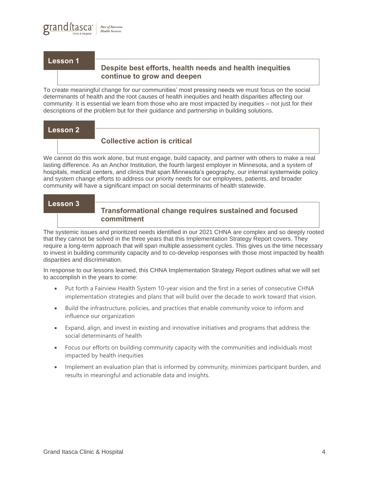#### **Lesson 1**

## **Despite best efforts, health needs and health inequities continue to grow and deepen**

To create meaningful change for our communities' most pressing needs we must focus on the social determinants of health and the root causes of health inequities and health disparities affecting our community. It is essential we learn from those who are most impacted by inequities – not just for their descriptions of the problem but for their guidance and partnership in building solutions.

#### **Lesson 2**

## **Collective action is critical**

We cannot do this work alone, but must engage, build capacity, and partner with others to make a real lasting difference. As an Anchor Institution, the fourth largest employer in Minnesota, and a system of hospitals, medical centers, and clinics that span Minnesota's geography, our internal systemwide policy and system change efforts to address our priority needs for our employees, patients, and broader community will have a significant impact on social determinants of health statewide.

#### **Lesson 3**

### **Transformational change requires sustained and focused commitment**

The systemic issues and prioritized needs identified in our 2021 CHNA are complex and so deeply rooted that they cannot be solved in the three years that this Implementation Strategy Report covers. They require a long-term approach that will span multiple assessment cycles. This gives us the time necessary to invest in building community capacity and to co-develop responses with those most impacted by health disparities and discrimination.

In response to our lessons learned, this CHNA Implementation Strategy Report outlines what we will set to accomplish in the years to come:

- Put forth a Fairview Health System 10-year vision and the first in a series of consecutive CHNA implementation strategies and plans that will build over the decade to work toward that vision.
- Build the infrastructure, policies, and practices that enable community voice to inform and influence our organization
- Expand, align, and invest in existing and innovative initiatives and programs that address the social determinants of health
- Focus our efforts on building community capacity with the communities and individuals most impacted by health inequities
- Implement an evaluation plan that is informed by community, minimizes participant burden, and results in meaningful and actionable data and insights.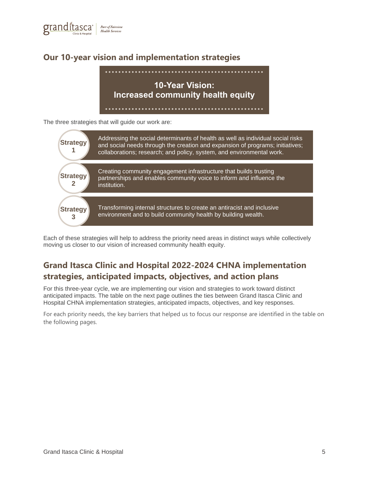

# <span id="page-4-0"></span>**Our 10-year vision and implementation strategies**



The three strategies that will guide our work are:



Each of these strategies will help to address the priority need areas in distinct ways while collectively moving us closer to our vision of increased community health equity.

# <span id="page-4-1"></span>**Grand Itasca Clinic and Hospital 2022-2024 CHNA implementation strategies, anticipated impacts, objectives, and action plans**

For this three-year cycle, we are implementing our vision and strategies to work toward distinct anticipated impacts. The table on the next page outlines the ties between Grand Itasca Clinic and Hospital CHNA implementation strategies, anticipated impacts, objectives, and key responses.

For each priority needs, the key barriers that helped us to focus our response are identified in the table on the following pages.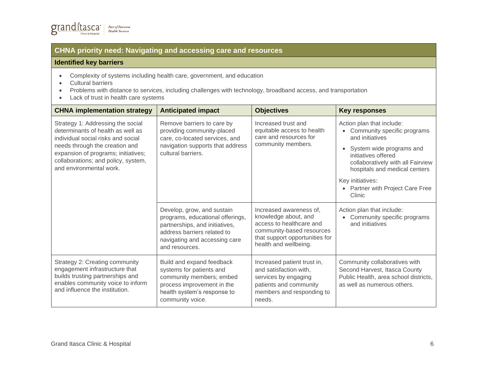## **CHNA priority need: Navigating and accessing care and resources**

#### **Identified key barriers**

- Complexity of systems including health care, government, and education
- Cultural barriers
- Problems with distance to services, including challenges with technology, broadband access, and transportation
- Lack of trust in health care systems

| <b>CHNA implementation strategy</b>                                                                                                                                                                                                                     | <b>Anticipated impact</b>                                                                                                                                                          | <b>Objectives</b>                                                                                                                                                   | <b>Key responses</b>                                                                                                                                                                                                                                                 |
|---------------------------------------------------------------------------------------------------------------------------------------------------------------------------------------------------------------------------------------------------------|------------------------------------------------------------------------------------------------------------------------------------------------------------------------------------|---------------------------------------------------------------------------------------------------------------------------------------------------------------------|----------------------------------------------------------------------------------------------------------------------------------------------------------------------------------------------------------------------------------------------------------------------|
| Strategy 1: Addressing the social<br>determinants of health as well as<br>individual social risks and social<br>needs through the creation and<br>expansion of programs; initiatives;<br>collaborations; and policy, system,<br>and environmental work. | Remove barriers to care by<br>providing community-placed<br>care, co-located services, and<br>navigation supports that address<br>cultural barriers.                               | Increased trust and<br>equitable access to health<br>care and resources for<br>community members.                                                                   | Action plan that include:<br>Community specific programs<br>and initiatives<br>System wide programs and<br>initiatives offered<br>collaboratively with all Fairview<br>hospitals and medical centers<br>Key initiatives:<br>Partner with Project Care Free<br>Clinic |
|                                                                                                                                                                                                                                                         | Develop, grow, and sustain<br>programs, educational offerings,<br>partnerships, and initiatives,<br>address barriers related to<br>navigating and accessing care<br>and resources. | Increased awareness of,<br>knowledge about, and<br>access to healthcare and<br>community-based resources<br>that support opportunities for<br>health and wellbeing. | Action plan that include:<br>Community specific programs<br>and initiatives                                                                                                                                                                                          |
| Strategy 2: Creating community<br>engagement infrastructure that<br>builds trusting partnerships and<br>enables community voice to inform<br>and influence the institution.                                                                             | Build and expand feedback<br>systems for patients and<br>community members; embed<br>process improvement in the<br>health system's response to<br>community voice.                 | Increased patient trust in,<br>and satisfaction with,<br>services by engaging<br>patients and community<br>members and responding to<br>needs.                      | Community collaboratives with<br>Second Harvest, Itasca County<br>Public Health, area school districts,<br>as well as numerous others.                                                                                                                               |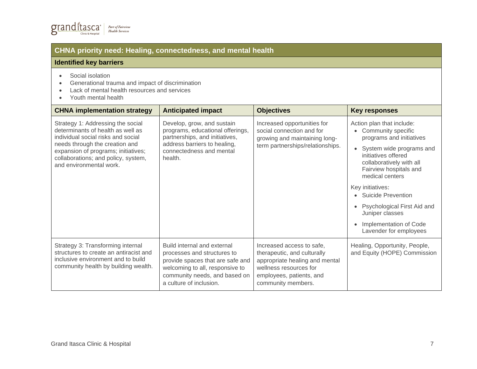## **CHNA priority need: Healing, connectedness, and mental health**

### **Identified key barriers**

- Social isolation
- Generational trauma and impact of discrimination
- Lack of mental health resources and services
- Youth mental health

| <b>CHNA implementation strategy</b>                                                                                                                                                                                                                     | <b>Anticipated impact</b>                                                                                                                                                                     | <b>Objectives</b>                                                                                                                                                      | <b>Key responses</b>                                                                                                                                                                                                                                                                                                                                                                |
|---------------------------------------------------------------------------------------------------------------------------------------------------------------------------------------------------------------------------------------------------------|-----------------------------------------------------------------------------------------------------------------------------------------------------------------------------------------------|------------------------------------------------------------------------------------------------------------------------------------------------------------------------|-------------------------------------------------------------------------------------------------------------------------------------------------------------------------------------------------------------------------------------------------------------------------------------------------------------------------------------------------------------------------------------|
| Strategy 1: Addressing the social<br>determinants of health as well as<br>individual social risks and social<br>needs through the creation and<br>expansion of programs; initiatives;<br>collaborations; and policy, system,<br>and environmental work. | Develop, grow, and sustain<br>programs, educational offerings,<br>partnerships, and initiatives,<br>address barriers to healing,<br>connectedness and mental<br>health.                       | Increased opportunities for<br>social connection and for<br>growing and maintaining long-<br>term partnerships/relationships.                                          | Action plan that include:<br>Community specific<br>programs and initiatives<br>System wide programs and<br>initiatives offered<br>collaboratively with all<br>Fairview hospitals and<br>medical centers<br>Key initiatives:<br>• Suicide Prevention<br>Psychological First Aid and<br>$\bullet$<br>Juniper classes<br>Implementation of Code<br>$\bullet$<br>Lavender for employees |
| Strategy 3: Transforming internal<br>structures to create an antiracist and<br>inclusive environment and to build<br>community health by building wealth.                                                                                               | Build internal and external<br>processes and structures to<br>provide spaces that are safe and<br>welcoming to all, responsive to<br>community needs, and based on<br>a culture of inclusion. | Increased access to safe,<br>therapeutic, and culturally<br>appropriate healing and mental<br>wellness resources for<br>employees, patients, and<br>community members. | Healing, Opportunity, People,<br>and Equity (HOPE) Commission                                                                                                                                                                                                                                                                                                                       |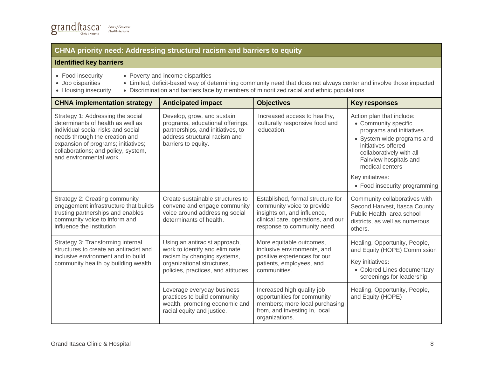## **CHNA priority need: Addressing structural racism and barriers to equity**

#### **Identified key barriers**

|  |  | Food insecurity |
|--|--|-----------------|
|--|--|-----------------|

- Poverty and income disparities
- Job disparities
- 
- Housing insecurity
- Limited, deficit-based way of determining community need that does not always center and involve those impacted
	- Discrimination and barriers face by members of minoritized racial and ethnic populations

| <b>CHNA implementation strategy</b>                                                                                                                                                                                                                     | <b>Anticipated impact</b>                                                                                                                                           | <b>Objectives</b>                                                                                                                                                   | <b>Key responses</b>                                                                                                                                                                                                                                             |
|---------------------------------------------------------------------------------------------------------------------------------------------------------------------------------------------------------------------------------------------------------|---------------------------------------------------------------------------------------------------------------------------------------------------------------------|---------------------------------------------------------------------------------------------------------------------------------------------------------------------|------------------------------------------------------------------------------------------------------------------------------------------------------------------------------------------------------------------------------------------------------------------|
| Strategy 1: Addressing the social<br>determinants of health as well as<br>individual social risks and social<br>needs through the creation and<br>expansion of programs; initiatives;<br>collaborations; and policy, system,<br>and environmental work. | Develop, grow, and sustain<br>programs, educational offerings,<br>partnerships, and initiatives, to<br>address structural racism and<br>barriers to equity.         | Increased access to healthy,<br>culturally responsive food and<br>education.                                                                                        | Action plan that include:<br>• Community specific<br>programs and initiatives<br>• System wide programs and<br>initiatives offered<br>collaboratively with all<br>Fairview hospitals and<br>medical centers<br>Key initiatives:<br>• Food insecurity programming |
| Strategy 2: Creating community<br>engagement infrastructure that builds<br>trusting partnerships and enables<br>community voice to inform and<br>influence the institution                                                                              | Create sustainable structures to<br>convene and engage community<br>voice around addressing social<br>determinants of health.                                       | Established, formal structure for<br>community voice to provide<br>insights on, and influence,<br>clinical care, operations, and our<br>response to community need. | Community collaboratives with<br>Second Harvest, Itasca County<br>Public Health, area school<br>districts, as well as numerous<br>others.                                                                                                                        |
| Strategy 3: Transforming internal<br>structures to create an antiracist and<br>inclusive environment and to build<br>community health by building wealth.                                                                                               | Using an antiracist approach,<br>work to identify and eliminate<br>racism by changing systems,<br>organizational structures,<br>policies, practices, and attitudes. | More equitable outcomes,<br>inclusive environments, and<br>positive experiences for our<br>patients, employees, and<br>communities.                                 | Healing, Opportunity, People,<br>and Equity (HOPE) Commission<br>Key initiatives:<br>• Colored Lines documentary<br>screenings for leadership                                                                                                                    |
|                                                                                                                                                                                                                                                         | Leverage everyday business<br>practices to build community<br>wealth, promoting economic and<br>racial equity and justice.                                          | Increased high quality job<br>opportunities for community<br>members; more local purchasing<br>from, and investing in, local<br>organizations.                      | Healing, Opportunity, People,<br>and Equity (HOPE)                                                                                                                                                                                                               |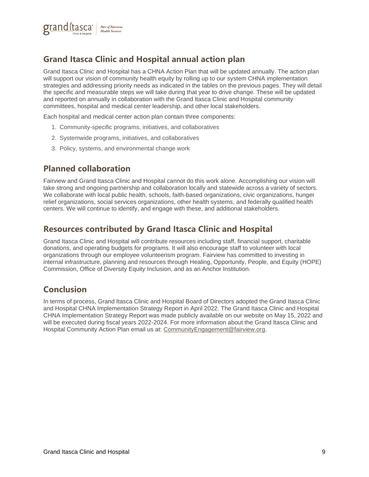

# <span id="page-8-0"></span>**Grand Itasca Clinic and Hospital annual action plan**

Grand Itasca Clinic and Hospital has a CHNA Action Plan that will be updated annually. The action plan will support our vision of community health equity by rolling up to our system CHNA implementation strategies and addressing priority needs as indicated in the tables on the previous pages. They will detail the specific and measurable steps we will take during that year to drive change. These will be updated and reported on annually in collaboration with the Grand Itasca Clinic and Hospital community committees, hospital and medical center leadership, and other local stakeholders.

Each hospital and medical center action plan contain three components:

- 1. Community-specific programs, initiatives, and collaboratives
- 2. Systemwide programs, initiatives, and collaboratives
- 3. Policy, systems, and environmental change work

# <span id="page-8-1"></span>**Planned collaboration**

Fairview and Grand Itasca Clinic and Hospital cannot do this work alone. Accomplishing our vision will take strong and ongoing partnership and collaboration locally and statewide across a variety of sectors. We collaborate with local public health, schools, faith-based organizations, civic organizations, hunger relief organizations, social services organizations, other health systems, and federally qualified health centers. We will continue to identify, and engage with these, and additional stakeholders.

## <span id="page-8-2"></span>**Resources contributed by Grand Itasca Clinic and Hospital**

Grand Itasca Clinic and Hospital will contribute resources including staff, financial support, charitable donations, and operating budgets for programs. It will also encourage staff to volunteer with local organizations through our employee volunteerism program. Fairview has committed to investing in internal infrastructure, planning and resources through Healing, Opportunity, People, and Equity (HOPE) Commission, Office of Diversity Equity Inclusion, and as an Anchor Institution.

# <span id="page-8-3"></span>**Conclusion**

In terms of process, Grand Itasca Clinic and Hospital Board of Directors adopted the Grand Itasca Clinic and Hospital CHNA Implementation Strategy Report in April 2022. The Grand Itasca Clinic and Hospital CHNA Implementation Strategy Report was made publicly available on our website on May 15, 2022 and will be executed during fiscal years 2022-2024. For more information about the Grand Itasca Clinic and Hospital Community Action Plan email us at: [CommunityEngagement@fairview.org.](mailto:CommunityEngagement@fairview.org)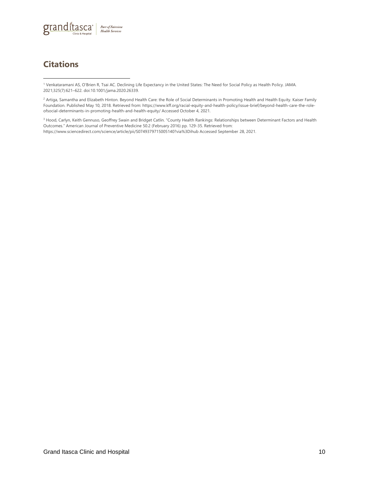

# **Citations**

<sup>1</sup> Venkataramani AS, O'Brien R, Tsai AC. Declining Life Expectancy in the United States: The Need for Social Policy as Health Policy. JAMA. 2021;325(7):621–622. doi:10.1001/jama.2020.26339.

<sup>2</sup> Artiga, Samantha and Elizabeth Hinton. Beyond Health Care: the Role of Social Determinants in Promoting Health and Health Equity. Kaiser Family Foundation. Published May 10, 2018. Retrieved from: https://www.kff.org/racial-equity-and-health-policy/issue-brief/beyond-health-care-the-roleofsocial-determinants-in-promoting-health-and-health-equity/ Accessed October 4, 2021.

<sup>3</sup> Hood, Carlyn, Keith Gennuso, Geoffrey Swain and Bridget Catlin. "County Health Rankings: Relationships between Determinant Factors and Health Outcomes." American Journal of Preventive Medicine 50.2 (February 2016) pp. 129-35. Retrieved from: https://www.sciencedirect.com/science/article/pii/S0749379715005140?via%3Dihub Accessed September 28, 2021.